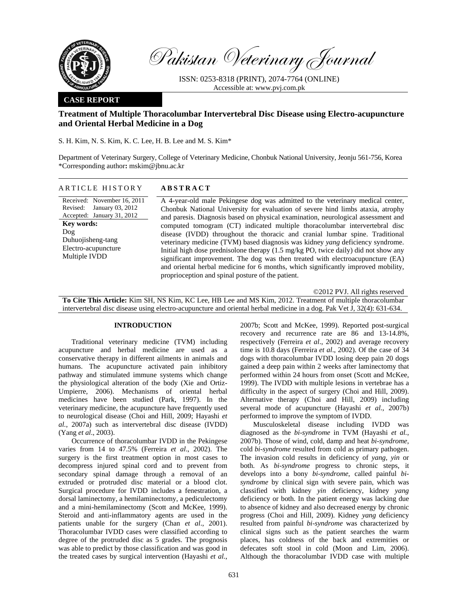

Pakistan Veterinary Journal

ISSN: 0253-8318 (PRINT), 2074-7764 (ONLINE) Accessible at: www.pvj.com.pk

# **CASE REPORT**

# **Treatment of Multiple Thoracolumbar Intervertebral Disc Disease using Electro-acupuncture and Oriental Herbal Medicine in a Dog**

S. H. Kim, N. S. Kim, K. C. Lee, H. B. Lee and M. S. Kim\*

Department of Veterinary Surgery, College of Veterinary Medicine, Chonbuk National University, Jeonju 561-756, Korea \*Corresponding author**:** mskim@jbnu.ac.kr

# ARTICLE HISTORY **ABSTRACT**

Received: November 16, 2011 Revised: January 03, 2012 Accepted: January 31, 2012 **Key words:**  Dog Duhuojisheng-tang Electro-acupuncture Multiple IVDD

A 4-year-old male Pekingese dog was admitted to the veterinary medical center, Chonbuk National University for evaluation of severe hind limbs ataxia, atrophy and paresis. Diagnosis based on physical examination, neurological assessment and computed tomogram (CT) indicated multiple thoracolumbar intervertebral disc disease (IVDD) throughout the thoracic and cranial lumbar spine. Traditional veterinary medicine (TVM) based diagnosis was kidney *yang* deficiency syndrome. Initial high dose prednisolone therapy (1.5 mg/kg PO, twice daily) did not show any significant improvement. The dog was then treated with electroacupuncture (EA) and oriental herbal medicine for 6 months, which significantly improved mobility, proprioception and spinal posture of the patient.

©2012 PVJ. All rights reserved **To Cite This Article:** Kim SH, NS Kim, KC Lee, HB Lee and MS Kim, 2012. Treatment of multiple thoracolumbar intervertebral disc disease using electro-acupuncture and oriental herbal medicine in a dog. Pak Vet J, 32(4): 631-634.

### **INTRODUCTION**

Traditional veterinary medicine (TVM) including acupuncture and herbal medicine are used as a conservative therapy in different ailments in animals and humans. The acupuncture activated pain inhibitory pathway and stimulated immune systems which change the physiological alteration of the body (Xie and Ortiz-Umpierre, 2006). Mechanisms of oriental herbal medicines have been studied (Park, 1997). In the veterinary medicine, the acupuncture have frequently used to neurological disease (Choi and Hill, 2009; Hayashi *et al.*, 2007a) such as intervertebral disc disease (IVDD) (Yang *et al*., 2003).

Occurrence of thoracolumbar IVDD in the Pekingese varies from 14 to 47.5% (Ferreira *et al*., 2002). The surgery is the first treatment option in most cases to decompress injured spinal cord and to prevent from secondary spinal damage through a removal of an extruded or protruded disc material or a blood clot. Surgical procedure for IVDD includes a fenestration, a dorsal laminectomy, a hemilaminectomy, a pediculectomy and a mini-hemilaminectomy (Scott and McKee, 1999). Steroid and anti-inflammatory agents are used in the patients unable for the surgery (Chan *et al*., 2001). Thoracolumbar IVDD cases were classified according to degree of the protruded disc as 5 grades. The prognosis was able to predict by those classification and was good in the treated cases by surgical intervention (Hayashi *et al.*,

2007b; Scott and McKee, 1999). Reported post-surgical recovery and recurrence rate are 86 and 13-14.8%, respectively (Ferreira *et al*., 2002) and average recovery time is 10.8 days (Ferreira *et al*., 2002). Of the case of 34 dogs with thoracolumbar IVDD losing deep pain 20 dogs gained a deep pain within 2 weeks after laminectomy that performed within 24 hours from onset (Scott and McKee, 1999). The IVDD with multiple lesions in vertebrae has a difficulty in the aspect of surgery (Choi and Hill, 2009). Alternative therapy (Choi and Hill, 2009) including several mode of acupuncture (Hayashi *et al.*, 2007b) performed to improve the symptom of IVDD.

Musculoskeletal disease including IVDD was diagnosed as the *bi-syndrome* in TVM (Hayashi *et al.*, 2007b). Those of wind, cold, damp and heat *bi*-*syndrome*, cold *bi*-*syndrome* resulted from cold as primary pathogen. The invasion cold results in deficiency of *yang*, *yin* or both. As *bi-syndrome* progress to chronic steps, it develops into a bony *bi*-*syndrome*, called painful *bisyndrome* by clinical sign with severe pain, which was classified with kidney *yin* deficiency, kidney *yang* deficiency or both. In the patient energy was lacking due to absence of kidney and also decreased energy by chronic progress (Choi and Hill, 2009). Kidney *yang* deficiency resulted from painful *bi*-*syndrome* was characterized by clinical signs such as the patient searches the warm places, has coldness of the back and extremities or defecates soft stool in cold (Moon and Lim, 2006). Although the thoracolumbar IVDD case with multiple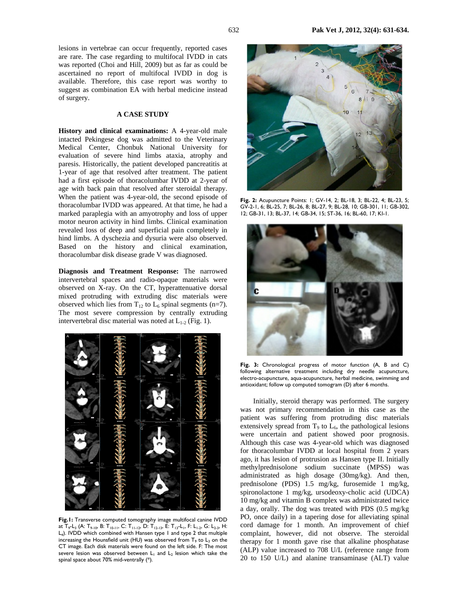lesions in vertebrae can occur frequently, reported cases are rare. The case regarding to multifocal IVDD in cats was reported (Choi and Hill, 2009) but as far as could be ascertained no report of multifocal IVDD in dog is available. Therefore, this case report was worthy to suggest as combination EA with herbal medicine instead of surgery.

### **A CASE STUDY**

**History and clinical examinations:** A 4-year-old male intacted Pekingese dog was admitted to the Veterinary Medical Center, Chonbuk National University for evaluation of severe hind limbs ataxia, atrophy and paresis. Historically, the patient developed pancreatitis at 1-year of age that resolved after treatment. The patient had a first episode of thoracolumbar IVDD at 2-year of age with back pain that resolved after steroidal therapy. When the patient was 4-year-old, the second episode of thoracolumbar IVDD was appeared. At that time, he had a marked paraplegia with an amyotrophy and loss of upper motor neuron activity in hind limbs. Clinical examination revealed loss of deep and superficial pain completely in hind limbs. A dyschezia and dysuria were also observed. Based on the history and clinical examination, thoracolumbar disk disease grade V was diagnosed.

**Diagnosis and Treatment Response:** The narrowed intervertebral spaces and radio-opaque materials were observed on X-ray. On the CT, hyperattenuative dorsal mixed protruding with extruding disc materials were observed which lies from  $T_{12}$  to  $L_6$  spinal segments (n=7). The most severe compression by centrally extruding intervertebral disc material was noted at  $L_{1-2}$  (Fig. 1).



**Fig.1:** Transverse computed tomography image multifocal canine IVDD at  $T_9$ -L<sub>3</sub> (A: T<sub>9-10</sub>, B: T<sub>10-11</sub>, C: T<sub>11-12</sub>, D: T<sub>12-13</sub>, E: T<sub>13</sub>-L<sub>1</sub>, F: L<sub>1-2</sub>, G: L<sub>2-3</sub>, H: L4). IVDD which combined with Hansen type 1 and type 2 that multiple increasing the Hounsfield unit (HU) was observed from  $T_9$  to  $L_3$  on the CT image. Each disk materials were found on the left side. F: The most severe lesion was observed between  $L_1$  and  $L_2$  lesion which take the spinal space about 70% mid-ventrally (\*).



**Fig. 2:** Acupuncture Points: 1; GV-14, 2; BL-18, 3; BL-22, 4; BL-23, 5; GV-2-1, 6; BL-25, 7; BL-26, 8; BL-27, 9; BL-28, 10; GB-301, 11; GB-302, 12; GB-31, 13; BL-37, 14; GB-34, 15; ST-36, 16; BL-60, 17; KI-1.



**Fig. 3:** Chronological progress of motor function (A, B and C) following alternative treatment including dry needle acupuncture, electro-acupuncture, aqua-acupuncture, herbal medicine, swimming and antioxidant; follow up computed tomogram (D) after 6 months.

Initially, steroid therapy was performed. The surgery was not primary recommendation in this case as the patient was suffering from protruding disc materials extensively spread from  $T_9$  to  $L_6$ , the pathological lesions were uncertain and patient showed poor prognosis. Although this case was 4-year-old which was diagnosed for thoracolumbar IVDD at local hospital from 2 years ago, it has lesion of protrusion as Hansen type II. Initially methylprednisolone sodium succinate (MPSS) was administrated as high dosage (30mg/kg). And then, prednisolone (PDS) 1.5 mg/kg, furosemide 1 mg/kg, spironolactone 1 mg/kg, ursodeoxy-cholic acid (UDCA) 10 mg/kg and vitamin B complex was administrated twice a day, orally. The dog was treated with PDS (0.5 mg/kg PO, once daily) in a tapering dose for alleviating spinal cord damage for 1 month. An improvement of chief complaint, however, did not observe. The steroidal therapy for 1 month gave rise that alkaline phosphatase (ALP) value increased to 708 U/L (reference range from 20 to 150 U/L) and alanine transaminase (ALT) value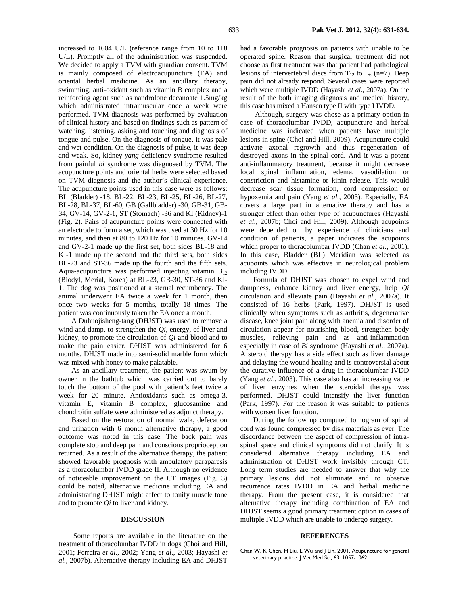increased to 1604 U/L (reference range from 10 to 118 U/L). Promptly all of the administration was suspended. We decided to apply a TVM with guardian consent. TVM is mainly composed of electroacupuncture (EA) and oriental herbal medicine. As an ancillary therapy, swimming, anti-oxidant such as vitamin B complex and a reinforcing agent such as nandrolone decanoate 1.5mg/kg which administrated intramuscular once a week were performed. TVM diagnosis was performed by evaluation of clinical history and based on findings such as pattern of watching, listening, asking and touching and diagnosis of tongue and pulse. On the diagnosis of tongue, it was pale and wet condition. On the diagnosis of pulse, it was deep and weak. So, kidney *yang* deficiency syndrome resulted from painful *bi* syndrome was diagnosed by TVM. The acupuncture points and oriental herbs were selected based on TVM diagnosis and the author's clinical experience. The acupuncture points used in this case were as follows: BL (Bladder) -18, BL-22, BL-23, BL-25, BL-26, BL-27, BL-28, BL-37, BL-60, GB (Gallbladder) -30, GB-31, GB-34, GV-14, GV-2-1, ST (Stomach) -36 and KI (Kidney)-1 (Fig. 2). Pairs of acupuncture points were connected with an electrode to form a set, which was used at 30 Hz for 10 minutes, and then at 80 to 120 Hz for 10 minutes. GV-14 and GV-2-1 made up the first set, both sides BL-18 and KI-1 made up the second and the third sets, both sides BL-23 and ST-36 made up the fourth and the fifth sets. Aqua-acupuncture was performed injecting vitamin  $B_{12}$ (Biodyl, Merial, Korea) at BL-23, GB-30, ST-36 and KI-1. The dog was positioned at a sternal recumbency. The animal underwent EA twice a week for 1 month, then once two weeks for 5 months, totally 18 times. The patient was continuously taken the EA once a month.

A Duhuojisheng-tang (DHJST) was used to remove a wind and damp, to strengthen the *Qi,* energy*,* of liver and kidney, to promote the circulation of *Qi* and blood and to make the pain easier. DHJST was administered for 6 months. DHJST made into semi-solid marble form which was mixed with honey to make palatable.

As an ancillary treatment, the patient was swum by owner in the bathtub which was carried out to barely touch the bottom of the pool with patient's feet twice a week for 20 minute. Antioxidants such as omega-3, vitamin E, vitamin B complex, glucosamine and chondroitin sulfate were administered as adjunct therapy.

Based on the restoration of normal walk, defecation and urination with 6 month alternative therapy, a good outcome was noted in this case. The back pain was complete stop and deep pain and conscious proprioception returned. As a result of the alternative therapy, the patient showed favorable prognosis with ambulatory paraparesis as a thoracolumbar IVDD grade II. Although no evidence of noticeable improvement on the CT images (Fig. 3) could be noted, alternative medicine including EA and administrating DHJST might affect to tonify muscle tone and to promote *Qi* to liver and kidney.

#### **DISCUSSION**

 Some reports are available in the literature on the treatment of thoracolumbar IVDD in dogs (Choi and Hill, 2001; Ferreira *et al*., 2002; Yang *et al*., 2003; Hayashi *et al.*, 2007b). Alternative therapy including EA and DHJST

had a favorable prognosis on patients with unable to be operated spine. Reason that surgical treatment did not choose as first treatment was that patient had pathological lesions of intervertebral discs from  $T_{12}$  to  $L_6$  (n=7). Deep pain did not already respond. Several cases were reported which were multiple IVDD (Hayashi *et al*., 2007a). On the result of the both imaging diagnosis and medical history, this case has mixed a Hansen type II with type I IVDD.

 Although, surgery was chose as a primary option in case of thoracolumbar IVDD, acupuncture and herbal medicine was indicated when patients have multiple lesions in spine (Choi and Hill, 2009). Acupuncture could activate axonal regrowth and thus regeneration of destroyed axons in the spinal cord. And it was a potent anti-inflammatory treatment, because it might decrease local spinal inflammation, edema, vasodilation or constriction and histamine or kinin release. This would decrease scar tissue formation, cord compression or hypoxemia and pain (Yang *et al.,* 2003). Especially, EA covers a large part in alternative therapy and has a stronger effect than other type of acupunctures (Hayashi *et al.*, 2007b; Choi and Hill, 2009). Although acupoints were depended on by experience of clinicians and condition of patients, a paper indicates the acupoints which proper to thoracolumbar IVDD (Chan *et al*., 2001). In this case, Bladder (BL) Meridian was selected as acupoints which was effective in neurological problem including IVDD.

Formula of DHJST was chosen to expel wind and dampness, enhance kidney and liver energy, help *Qi* circulation and alleviate pain (Hayashi *et al*., 2007a). It consisted of 16 herbs (Park, 1997). DHJST is used clinically when symptoms such as arthritis, degenerative disease, knee joint pain along with anemia and disorder of circulation appear for nourishing blood, strengthen body muscles, relieving pain and as anti-inflammation especially in case of *Bi* syndrome (Hayashi *et al.*, 2007a). A steroid therapy has a side effect such as liver damage and delaying the wound healing and is controversial about the curative influence of a drug in thoracolumbar IVDD (Yang *et al*., 2003). This case also has an increasing value of liver enzymes when the steroidal therapy was performed. DHJST could intensify the liver function (Park, 1997). For the reason it was suitable to patients with worsen liver function.

During the follow up computed tomogram of spinal cord was found compressed by disk materials as ever. The discordance between the aspect of compression of intraspinal space and clinical symptoms did not clarify. It is considered alternative therapy including EA and administration of DHJST work invisibly through CT. Long term studies are needed to answer that why the primary lesions did not eliminate and to observe recurrence rates IVDD in EA and herbal medicine therapy. From the present case, it is considered that alternative therapy including combination of EA and DHJST seems a good primary treatment option in cases of multiple IVDD which are unable to undergo surgery.

#### **REFERENCES**

Chan W, K Chen, H Liu, L Wu and | Lin, 2001. Acupuncture for general veterinary practice. J Vet Med Sci, 63: 1057-1062.